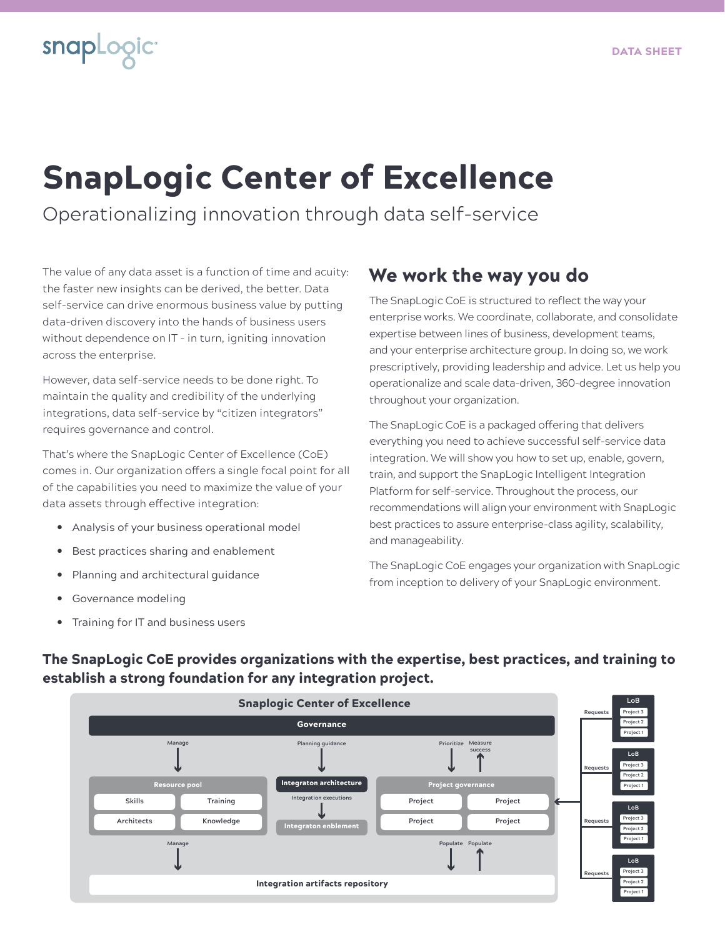# SnapLogic Center of Excellence

Operationalizing innovation through data self-service

The value of any data asset is a function of time and acuity: the faster new insights can be derived, the better. Data self-service can drive enormous business value by putting data-driven discovery into the hands of business users without dependence on IT – in turn, igniting innovation across the enterprise.

However, data self-service needs to be done right. To maintain the quality and credibility of the underlying integrations, data self-service by "citizen integrators" requires governance and control.

That's where the SnapLogic Center of Excellence (CoE) comes in. Our organization offers a single focal point for all of the capabilities you need to maximize the value of your data assets through effective integration:

- Analysis of your business operational model
- **•** Best practices sharing and enablement
- Planning and architectural guidance
- Governance modeling

**snapLogic** 

#### • Training for IT and business users

The SnapLogic CoE provides organizations with the expertise, best practices, and training to establish a strong foundation for any integration project.



#### We work the way you do

The SnapLogic CoE is structured to reflect the way your enterprise works. We coordinate, collaborate, and consolidate expertise between lines of business, development teams, and your enterprise architecture group. In doing so, we work prescriptively, providing leadership and advice. Let us help you operationalize and scale data-driven, 360-degree innovation throughout your organization.

The SnapLogic CoE is a packaged offering that delivers everything you need to achieve successful self-service data integration. We will show you how to set up, enable, govern, train, and support the SnapLogic Intelligent Integration Platform for self-service. Throughout the process, our recommendations will align your environment with SnapLogic best practices to assure enterprise-class agility, scalability, and manageability.

The SnapLogic CoE engages your organization with SnapLogic from inception to delivery of your SnapLogic environment.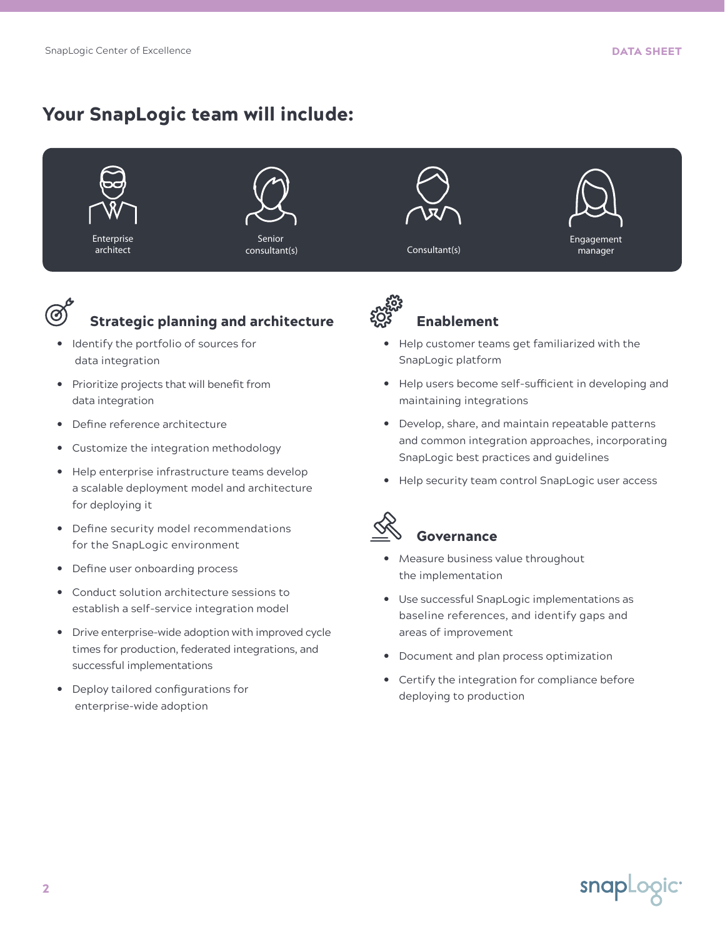### Your SnapLogic team will include:





#### Strategic planning and architecture

- Identify the portfolio of sources for data integration
- Prioritize projects that will benefit from data integration
- Define reference architecture
- Customize the integration methodology
- Help enterprise infrastructure teams develop a scalable deployment model and architecture for deploying it
- Define security model recommendations for the SnapLogic environment
- Define user onboarding process
- Conduct solution architecture sessions to establish a self-service integration model
- Drive enterprise-wide adoption with improved cycle times for production, federated integrations, and successful implementations
- Deploy tailored configurations for enterprise-wide adoption



#### Enablement

- Help customer teams get familiarized with the SnapLogic platform
- Help users become self-sufficient in developing and maintaining integrations
- Develop, share, and maintain repeatable patterns and common integration approaches, incorporating SnapLogic best practices and guidelines
- Help security team control SnapLogic user access



#### Governance • Measure business value throughout

- the implementation
- Use successful SnapLogic implementations as baseline references, and identify gaps and areas of improvement
- Document and plan process optimization
- Certify the integration for compliance before deploying to production